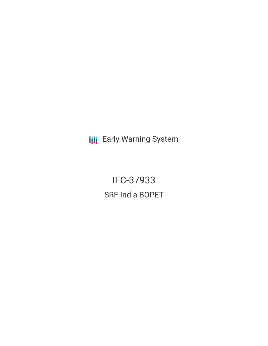**III** Early Warning System

IFC-37933 SRF India BOPET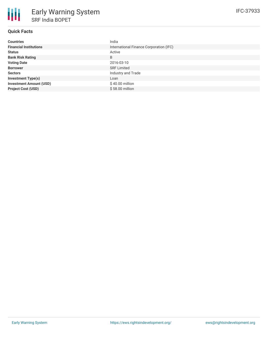| <b>Countries</b>               | India                                   |
|--------------------------------|-----------------------------------------|
| <b>Financial Institutions</b>  | International Finance Corporation (IFC) |
| <b>Status</b>                  | Active                                  |
| <b>Bank Risk Rating</b>        | B                                       |
| <b>Voting Date</b>             | 2016-03-10                              |
| <b>Borrower</b>                | <b>SRF Limited</b>                      |
| <b>Sectors</b>                 | Industry and Trade                      |
| <b>Investment Type(s)</b>      | Loan                                    |
| <b>Investment Amount (USD)</b> | $$40.00$ million                        |
| <b>Project Cost (USD)</b>      | $$58.00$ million                        |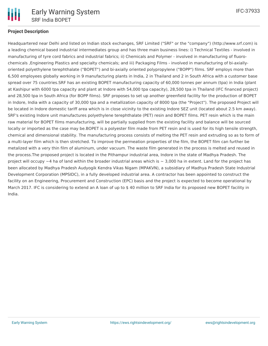

## **Project Description**

Headquartered near Delhi and listed on Indian stock exchanges, SRF Limited ("SRF" or the "company") (http://www.srf.com) is a leading chemical based industrial intermediates group and has three main business lines: i) Technical Textiles - involved in manufacturing of tyre cord fabrics and industrial fabrics; ii) Chemicals and Polymer - involved in manufacturing of fluorochemicals ,Engineering Plastics and specialty chemicals; and iii) Packaging Films - involved in manufacturing of bi-axiallyoriented polyethylene terephthalate ("BOPET") and bi-axially oriented polypropylene ("BOPP") films. SRF employs more than 6,500 employees globally working in 9 manufacturing plants in India, 2 in Thailand and 2 in South Africa with a customer base spread over 75 countries.SRF has an existing BOPET manufacturing capacity of 60,000 tonnes per annum (tpa) in India (plant at Kashipur with 6000 tpa capacity and plant at Indore with 54,000 tpa capacity), 28,500 tpa in Thailand (IFC financed project) and 28,500 tpa in South Africa (for BOPP films). SRF proposes to set up another greenfield facility for the production of BOPET in Indore, India with a capacity of 30,000 tpa and a metallization capacity of 8000 tpa (the "Project"). The proposed Project will be located in Indore domestic tariff area which is in close vicinity to the existing Indore SEZ unit (located about 2.5 km away). SRF's existing Indore unit manufactures polyethylene terephthalate (PET) resin and BOPET films. PET resin which is the main raw material for BOPET films manufacturing, will be partially supplied from the existing facility and balance will be sourced locally or imported as the case may be.BOPET is a polyester film made from PET resin and is used for its high tensile strength, chemical and dimensional stability. The manufacturing process consists of melting the PET resin and extruding so as to form of a multi-layer film which is then stretched. To improve the permeation properties of the film, the BOPET film can further be metalized with a very thin film of aluminum, under vacuum. The waste film generated in the process is melted and reused in the process.The proposed project is located in the Pithampur industrial area, Indore in the state of Madhya Pradesh. The project will occupy  $\sim$ 4 ha of land within the broader industrial areas which is  $\sim$  3,000 ha in extent. Land for the project has been allocated by Madhya Pradesh Audyogik Kendra Vikas Nigam (MPAKVN), a subsidiary of Madhya Pradesh State Industrial Development Corporation (MPSIDC), in a fully developed industrial area. A contractor has been appointed to construct the facility on an Engineering, Procurement and Construction (EPC) basis and the project is expected to become operational by March 2017. IFC is considering to extend an A loan of up to \$ 40 million to SRF India for its proposed new BOPET facility in India.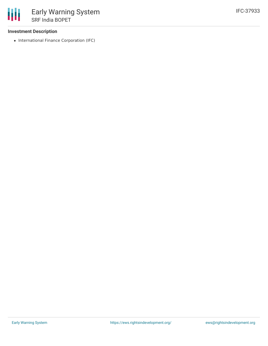## **Investment Description**

• International Finance Corporation (IFC)